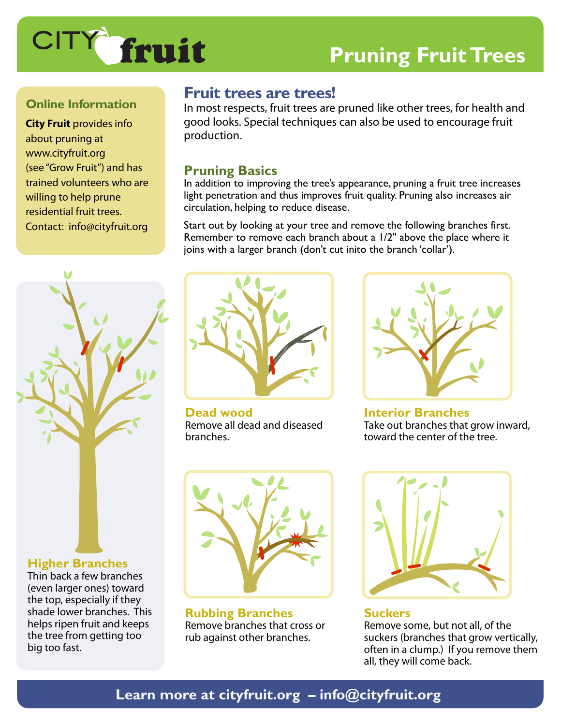

# **Pruning Fruit Trees**

## **Online Information**

**City Fruit** provides info about pruning at www.cityfruit.org (see "Grow Fruit") and has trained volunteers who are willing to help prune residential fruit trees. Contact: info@cityfruit.org

## **Fruit trees are trees!**

In most respects, fruit trees are pruned like other trees, for health and good looks. Special techniques can also be used to encourage fruit production.

## **Pruning Basics**

In addition to improving the tree's appearance, pruning a fruit tree increases light penetration and thus improves fruit quality. Pruning also increases air circulation, helping to reduce disease.

Start out by looking at your tree and remove the following branches first. Remember to remove each branch about a 1/2" above the place where it joins with a larger branch (don't cut inito the branch 'collar').



Thin back a few branches (even larger ones) toward the top, especially if they shade lower branches. This helps ripen fruit and keeps the tree from getting too big too fast.



**Dead wood** Remove all dead and diseased branches.



**Interior Branches** Take out branches that grow inward, toward the center of the tree.



**Rubbing Branches** Remove branches that cross or rub against other branches.



**Suckers** Remove some, but not all, of the suckers (branches that grow vertically, often in a clump.) If you remove them all, they will come back.

## **Learn more at cityfruit.org – info@cityfruit.org**